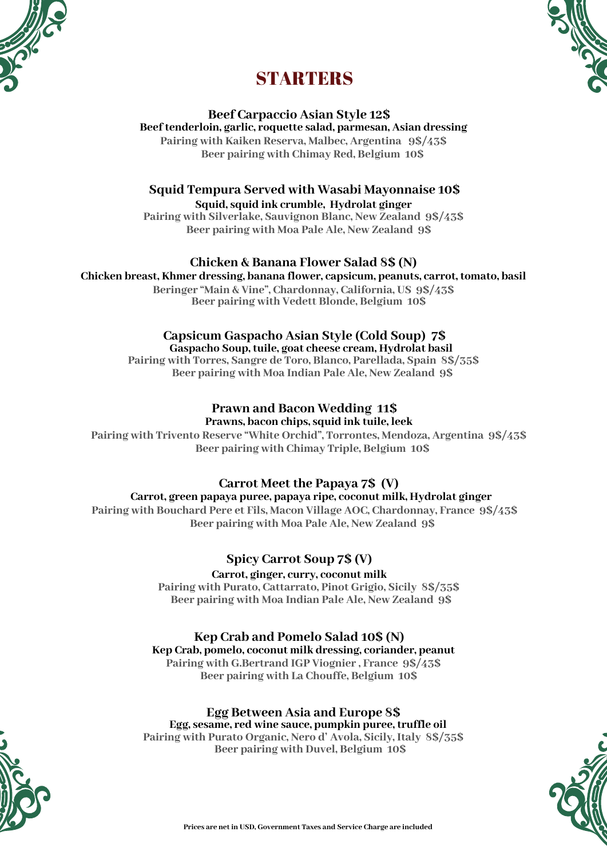



# **STARTERS**

**Beef Carpaccio Asian Style 12\$ Beef tenderloin, garlic, roquette salad, parmesan, Asian dressing Pairing with Kaiken Reserva, Malbec, Argentina 9\$/43\$ Beer pairing with Chimay Red, Belgium 10\$**

**Squid Tempura Served with Wasabi Mayonnaise 10\$ Squid, squid ink crumble, Hydrolat ginger Pairing with Silverlake, Sauvignon Blanc, New Zealand 9\$/43\$**

**Beer pairing with Moa Pale Ale, New Zealand 9\$**

### **Chicken & Banana Flower Salad 8\$ (N)**

**Chicken breast, Khmer dressing, banana flower, capsicum, peanuts, carrot, tomato, basil Beringer "Main & Vine", Chardonnay, California, US 9\$/43\$ Beer pairing with Vedett Blonde, Belgium 10\$**

# **Capsicum Gaspacho Asian Style (Cold Soup) 7\$**

**Gaspacho Soup, tuile, goat cheese cream, Hydrolat basil Pairing with Torres, Sangre de Toro, Blanco, Parellada, Spain 8\$/35\$ Beer pairing with Moa Indian Pale Ale, New Zealand 9\$**

### **Prawn and Bacon Wedding 11\$ Prawns, bacon chips, squid ink tuile, leek**

**Pairing with Trivento Reserve "White Orchid", Torrontes, Mendoza, Argentina 9\$/43\$ Beer pairing with Chimay Triple, Belgium 10\$**

## **Carrot Meet the Papaya 7\$ (V)**

**Carrot, green papaya puree, papaya ripe, coconut milk, Hydrolat ginger Pairing with Bouchard Pere et Fils, Macon Village AOC, Chardonnay, France 9\$/43\$ Beer pairing with Moa Pale Ale, New Zealand 9\$**

## **Spicy Carrot Soup 7\$ (V)**

**Carrot, ginger, curry, coconut milk Pairing with Purato, Cattarrato, Pinot Grigio, Sicily 8\$/35\$ Beer pairing with Moa Indian Pale Ale, New Zealand 9\$**

## **Kep Crab and Pomelo Salad 10\$ (N)**

**Kep Crab, pomelo, coconut milk dressing, coriander, peanut Pairing with G.Bertrand IGP Viognier , France 9\$/43\$ Beer pairing with La Chouffe, Belgium 10\$**

## **Egg Between Asia and Europe 8\$ Egg, sesame, red wine sauce, pumpkin puree, truffle oil**

**Pairing with Purato Organic, Nero d' Avola, Sicily, Italy 8\$/35\$ Beer pairing with Duvel, Belgium 10\$**



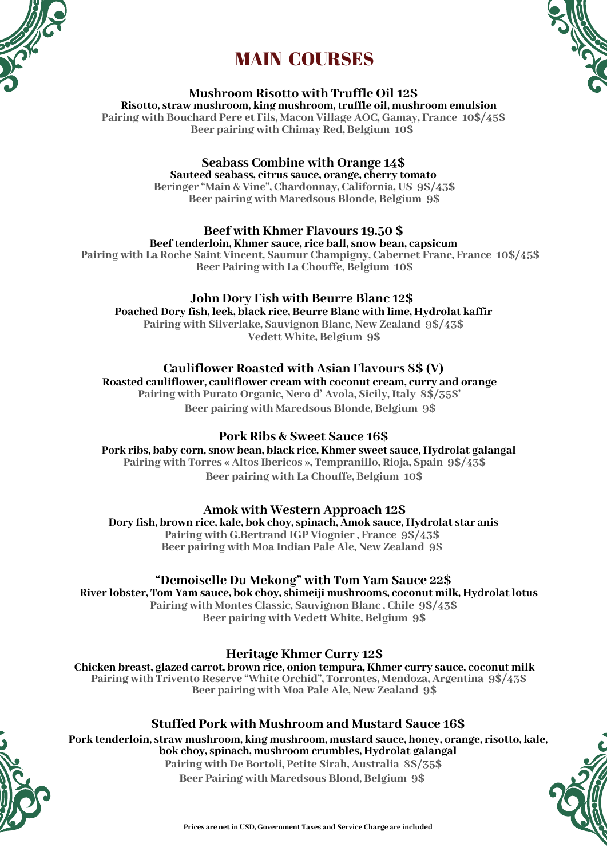





#### **Mushroom Risotto with Truffle Oil 12\$**

**Risotto, straw mushroom, king mushroom, truffle oil, mushroom emulsion Pairing with Bouchard Pere et Fils, Macon Village AOC, Gamay, France 10\$/45\$ Beer pairing with Chimay Red, Belgium 10\$**

### **Seabass Combine with Orange 14\$**

**Sauteed seabass, citrus sauce, orange, cherry tomato Beringer "Main & Vine", Chardonnay, California, US 9\$/43\$ Beer pairing with Maredsous Blonde, Belgium 9\$**

### **Beef with Khmer Flavours 19.50 \$**

### **Beef tenderloin, Khmer sauce, rice ball, snow bean, capsicum**

**Pairing with La Roche Saint Vincent, Saumur Champigny, Cabernet Franc, France 10\$/45\$ Beer Pairing with La Chouffe, Belgium 10\$**

### **John Dory Fish with Beurre Blanc 12\$**

**Poached Dory fish, leek, black rice, Beurre Blanc with lime, Hydrolat kaffir Pairing with Silverlake, Sauvignon Blanc, New Zealand 9\$/43\$ Vedett White, Belgium 9\$**

### **Cauliflower Roasted with Asian Flavours 8\$ (V)**

**Roasted cauliflower, cauliflower cream with coconut cream, curry and orange Pairing with Purato Organic, Nero d' Avola, Sicily, Italy 8\$/35\$' Beer pairing with Maredsous Blonde, Belgium 9\$**

### **Pork Ribs & Sweet Sauce 16\$**

**Pork ribs, baby corn, snow bean, black rice, Khmer sweet sauce, Hydrolat galangal Pairing with Torres « Altos Ibericos », Tempranillo, Rioja, Spain 9\$/43\$ Beer pairing with La Chouffe, Belgium 10\$**

### **Amok with Western Approach 12\$**

**Dory fish, brown rice, kale, bok choy, spinach, Amok sauce, Hydrolat star anis Pairing with G.Bertrand IGP Viognier , France 9\$/43\$ Beer pairing with Moa Indian Pale Ale, New Zealand 9\$**

### **"Demoiselle Du Mekong" with Tom Yam Sauce 22\$**

**River lobster, Tom Yam sauce, bok choy, shimeiji mushrooms, coconut milk, Hydrolat lotus Pairing with Montes Classic, Sauvignon Blanc , Chile 9\$/43\$ Beer pairing with Vedett White, Belgium 9\$**

### **Heritage Khmer Curry 12\$**

**Chicken breast, glazed carrot, brown rice, onion tempura, Khmer curry sauce, coconut milk Pairing with Trivento Reserve "White Orchid", Torrontes, Mendoza, Argentina 9\$/43\$ Beer pairing with Moa Pale Ale, New Zealand 9\$**

### **Stuffed Pork with Mushroom and Mustard Sauce 16\$**

**Pork tenderloin, straw mushroom, king mushroom, mustard sauce, honey, orange, risotto, kale, bok choy, spinach, mushroom crumbles, Hydrolat galangal Pairing with De Bortoli, Petite Sirah, Australia 8\$/35\$**



**Beer Pairing with Maredsous Blond, Belgium 9\$**

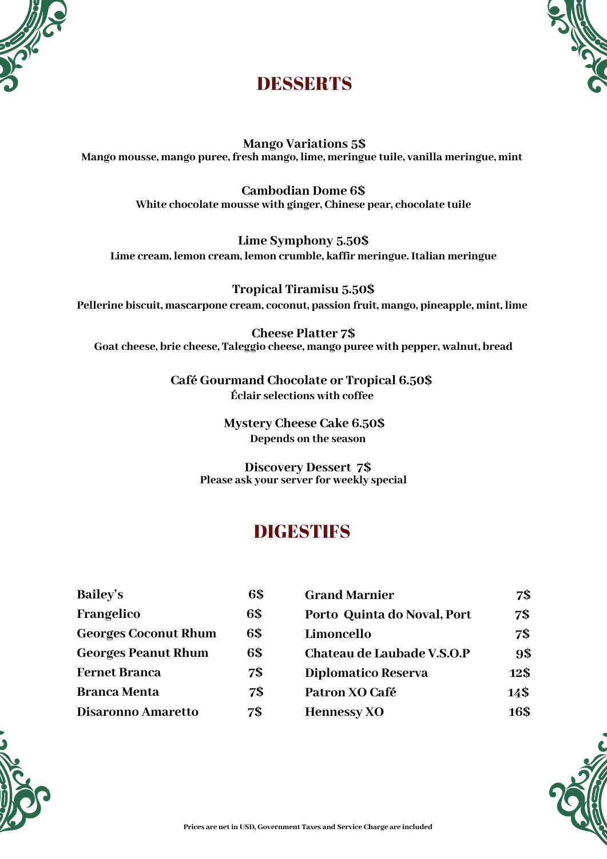



# DESSERTS

**Mango Variations 5\$ Mango mousse, mango puree, fresh mango, lime, meringue tuile, vanilla meringue, mint**

> **Cambodian Dome 6\$ White chocolate mousse with ginger, Chinese pear, chocolate tuile**

**Lime Symphony 5.50\$ Lime cream, lemon cream, lemon crumble, kaffir meringue. Italian meringue**

**Tropical Tiramisu 5.50\$ Pellerine biscuit, mascarpone cream, coconut, passion fruit, mango, pineapple, mint, lime**

**Cheese Platter 7\$ Goat cheese, brie cheese, Taleggio cheese, mango puree with pepper, walnut, bread**

> **Café Gourmand Chocolate or Tropical 6.50\$ Éclair selections with coffee**

> > **Mystery Cheese Cake 6.50\$ Depends on the season**

**Discovery Dessert 7\$ Please ask your server for weekly special**

# **DIGESTIFS**

| <b>Bailey's</b>             | 6\$ |
|-----------------------------|-----|
| Frangelico                  | 6\$ |
| <b>Georges Coconut Rhum</b> | 6\$ |
| <b>Georges Peanut Rhum</b>  | 6\$ |
| <b>Fernet Branca</b>        | 7\$ |
| <b>Branca Menta</b>         | 7\$ |
| <b>Disaronno Amaretto</b>   | 7\$ |





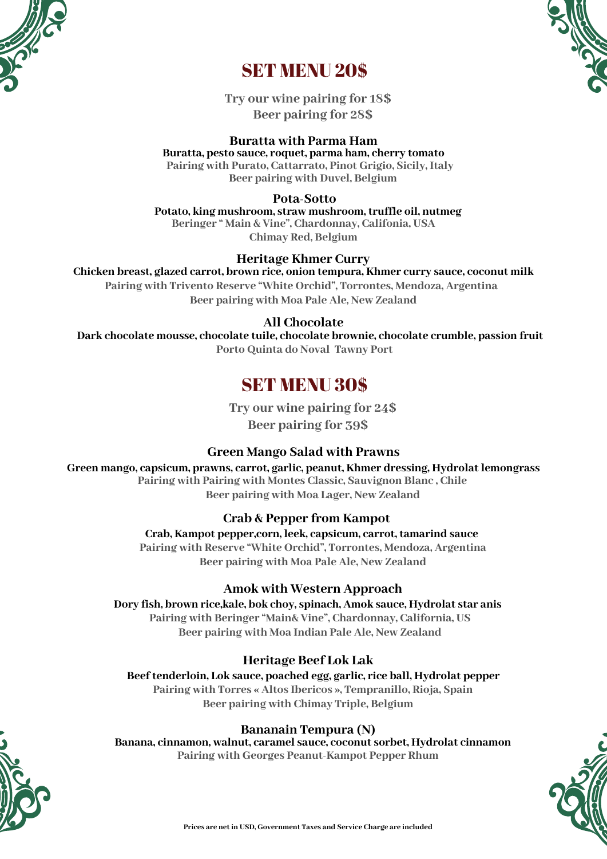



# SET MENU 20\$

**Try our wine pairing for 18\$ Beer pairing for 28\$**

### **Buratta with Parma Ham**

**Buratta, pesto sauce, roquet, parma ham, cherry tomato Pairing with Purato, Cattarrato, Pinot Grigio, Sicily, Italy Beer pairing with Duvel, Belgium**

**Pota-Sotto**

**Potato, king mushroom, straw mushroom, truffle oil, nutmeg Beringer " Main & Vine", Chardonnay, Califonia, USA Chimay Red, Belgium**

### **Heritage Khmer Curry**

**Chicken breast, glazed carrot, brown rice, onion tempura, Khmer curry sauce, coconut milk Pairing with Trivento Reserve "White Orchid", Torrontes, Mendoza, Argentina Beer pairing with Moa Pale Ale, New Zealand**

### **All Chocolate**

**Dark chocolate mousse, chocolate tuile, chocolate brownie, chocolate crumble, passion fruit Porto Quinta do Noval Tawny Port**

# SET MENU 30\$

**Try our wine pairing for 24\$ Beer pairing for 39\$**

### **Green Mango Salad with Prawns**

**Green mango, capsicum, prawns, carrot, garlic, peanut, Khmer dressing, Hydrolat lemongrass Pairing with Pairing with Montes Classic, Sauvignon Blanc , Chile**

**Beer pairing with Moa Lager, New Zealand**

## **Crab & Pepper from Kampot**

**Crab, Kampot pepper,corn, leek, capsicum, carrot, tamarind sauce Pairing with Reserve "White Orchid", Torrontes, Mendoza, Argentina Beer pairing with Moa Pale Ale, New Zealand**

### **Amok with Western Approach**

**Dory fish, brown rice,kale, bok choy, spinach, Amok sauce, Hydrolat star anis Pairing with Beringer "Main& Vine", Chardonnay, California, US Beer pairing with Moa Indian Pale Ale, New Zealand**

## **Heritage Beef Lok Lak**

**Beef tenderloin, Lok sauce, poached egg, garlic, rice ball, Hydrolat pepper Pairing with Torres « Altos Ibericos », Tempranillo, Rioja, Spain Beer pairing with Chimay Triple, Belgium**

### **Bananain Tempura (N)**

**Banana, cinnamon, walnut, caramel sauce, coconut sorbet, Hydrolat cinnamon Pairing with Georges Peanut-Kampot Pepper Rhum**